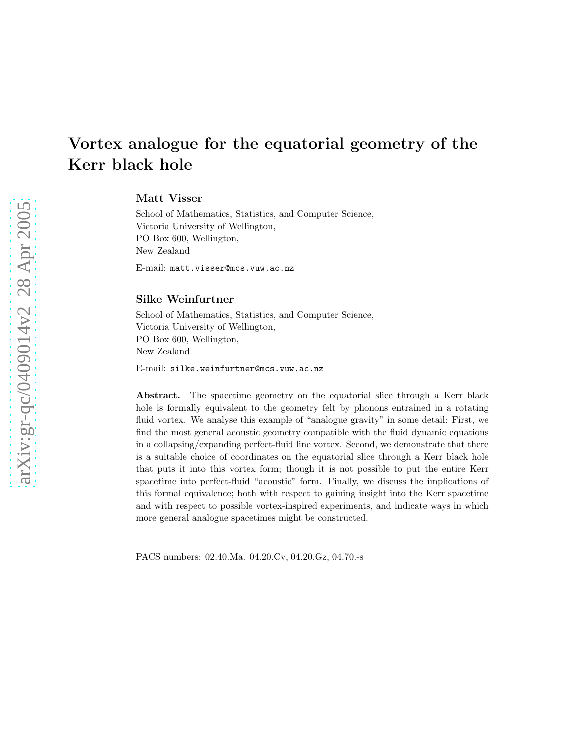# Matt Visser

School of Mathematics, Statistics, and Computer Science, Victoria University of Wellington, PO Box 600, Wellington, New Zealand

E-mail: matt.visser@mcs.vuw.ac.nz

#### Silke Weinfurtner

School of Mathematics, Statistics, and Computer Science, Victoria University of Wellington, PO Box 600, Wellington, New Zealand

E-mail: silke.weinfurtner@mcs.vuw.ac.nz

Abstract. The spacetime geometry on the equatorial slice through a Kerr black hole is formally equivalent to the geometry felt by phonons entrained in a rotating fluid vortex. We analyse this example of "analogue gravity" in some detail: First, we find the most general acoustic geometry compatible with the fluid dynamic equations in a collapsing/expanding perfect-fluid line vortex. Second, we demonstrate that there is a suitable choice of coordinates on the equatorial slice through a Kerr black hole that puts it into this vortex form; though it is not possible to put the entire Kerr spacetime into perfect-fluid "acoustic" form. Finally, we discuss the implications of this formal equivalence; both with respect to gaining insight into the Kerr spacetime and with respect to possible vortex-inspired experiments, and indicate ways in which more general analogue spacetimes might be constructed.

PACS numbers: 02.40.Ma. 04.20.Cv, 04.20.Gz, 04.70.-s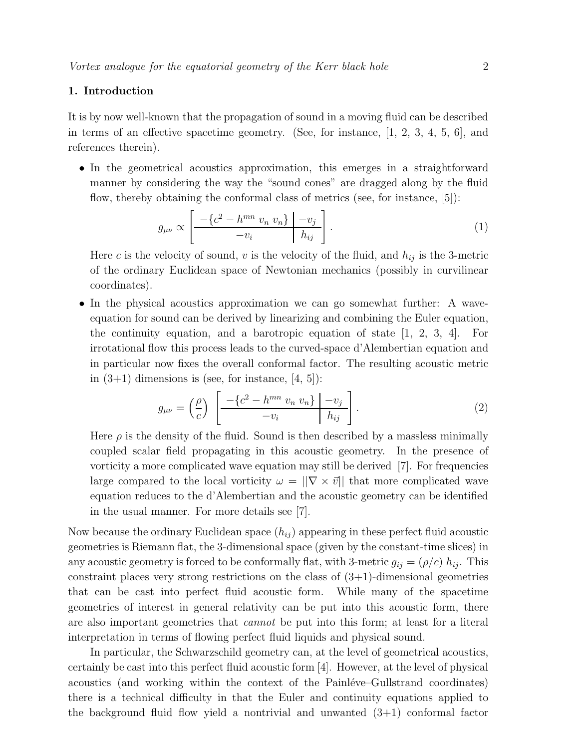# 1. Introduction

It is by now well-known that the propagation of sound in a moving fluid can be described in terms of an effective spacetime geometry. (See, for instance,  $[1, 2, 3, 4, 5, 6]$ , and references therein).

• In the geometrical acoustics approximation, this emerges in a straightforward manner by considering the way the "sound cones" are dragged along by the fluid flow, thereby obtaining the conformal class of metrics (see, for instance, [5]):

$$
g_{\mu\nu} \propto \left[ \frac{-\left\{c^2 - h^{mn} \ v_n \ v_n \right\}}{-v_i} \middle| \frac{-v_j}{h_{ij}} \right]. \tag{1}
$$

Here c is the velocity of sound, v is the velocity of the fluid, and  $h_{ij}$  is the 3-metric of the ordinary Euclidean space of Newtonian mechanics (possibly in curvilinear coordinates).

• In the physical acoustics approximation we can go somewhat further: A waveequation for sound can be derived by linearizing and combining the Euler equation, the continuity equation, and a barotropic equation of state [1, 2, 3, 4]. For irrotational flow this process leads to the curved-space d'Alembertian equation and in particular now fixes the overall conformal factor. The resulting acoustic metric in  $(3+1)$  dimensions is (see, for instance, [4, 5]):

$$
g_{\mu\nu} = \left(\frac{\rho}{c}\right) \left[ \frac{-\left\{c^2 - h^{mn} v_n v_n\right\} \middle| -v_j}{-v_i} \right]. \tag{2}
$$

Here  $\rho$  is the density of the fluid. Sound is then described by a massless minimally coupled scalar field propagating in this acoustic geometry. In the presence of vorticity a more complicated wave equation may still be derived [7]. For frequencies large compared to the local vorticity  $\omega = ||\nabla \times \vec{v}||$  that more complicated wave equation reduces to the d'Alembertian and the acoustic geometry can be identified in the usual manner. For more details see [7].

Now because the ordinary Euclidean space  $(h_{ij})$  appearing in these perfect fluid acoustic geometries is Riemann flat, the 3-dimensional space (given by the constant-time slices) in any acoustic geometry is forced to be conformally flat, with 3-metric  $g_{ij} = (\rho/c) h_{ij}$ . This constraint places very strong restrictions on the class of  $(3+1)$ -dimensional geometries that can be cast into perfect fluid acoustic form. While many of the spacetime geometries of interest in general relativity can be put into this acoustic form, there are also important geometries that cannot be put into this form; at least for a literal interpretation in terms of flowing perfect fluid liquids and physical sound.

In particular, the Schwarzschild geometry can, at the level of geometrical acoustics, certainly be cast into this perfect fluid acoustic form [4]. However, at the level of physical acoustics (and working within the context of the Painléve–Gullstrand coordinates) there is a technical difficulty in that the Euler and continuity equations applied to the background fluid flow yield a nontrivial and unwanted  $(3+1)$  conformal factor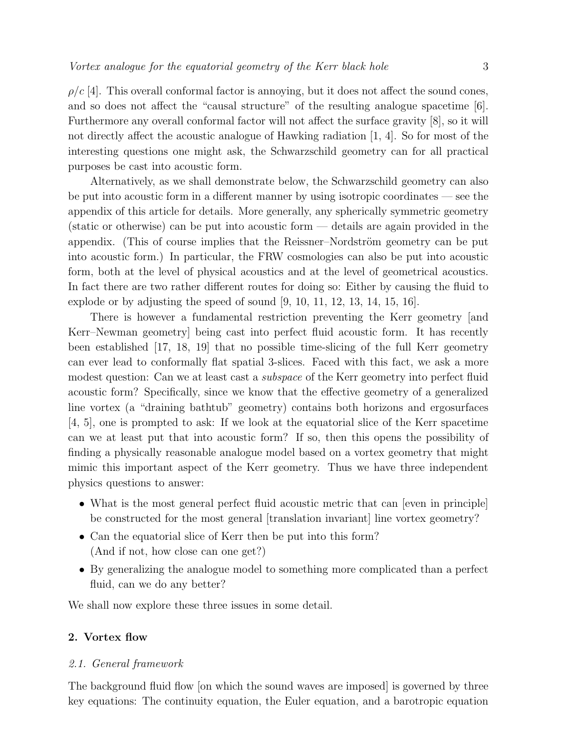$\rho/c$  [4]. This overall conformal factor is annoying, but it does not affect the sound cones, and so does not affect the "causal structure" of the resulting analogue spacetime [6]. Furthermore any overall conformal factor will not affect the surface gravity [8], so it will not directly affect the acoustic analogue of Hawking radiation [1, 4]. So for most of the interesting questions one might ask, the Schwarzschild geometry can for all practical purposes be cast into acoustic form.

Alternatively, as we shall demonstrate below, the Schwarzschild geometry can also be put into acoustic form in a different manner by using isotropic coordinates — see the appendix of this article for details. More generally, any spherically symmetric geometry (static or otherwise) can be put into acoustic form — details are again provided in the appendix. (This of course implies that the Reissner–Nordström geometry can be put into acoustic form.) In particular, the FRW cosmologies can also be put into acoustic form, both at the level of physical acoustics and at the level of geometrical acoustics. In fact there are two rather different routes for doing so: Either by causing the fluid to explode or by adjusting the speed of sound  $[9, 10, 11, 12, 13, 14, 15, 16]$ .

There is however a fundamental restriction preventing the Kerr geometry [and Kerr–Newman geometry] being cast into perfect fluid acoustic form. It has recently been established [17, 18, 19] that no possible time-slicing of the full Kerr geometry can ever lead to conformally flat spatial 3-slices. Faced with this fact, we ask a more modest question: Can we at least cast a *subspace* of the Kerr geometry into perfect fluid acoustic form? Specifically, since we know that the effective geometry of a generalized line vortex (a "draining bathtub" geometry) contains both horizons and ergosurfaces [4, 5], one is prompted to ask: If we look at the equatorial slice of the Kerr spacetime can we at least put that into acoustic form? If so, then this opens the possibility of finding a physically reasonable analogue model based on a vortex geometry that might mimic this important aspect of the Kerr geometry. Thus we have three independent physics questions to answer:

- What is the most general perfect fluid acoustic metric that can [even in principle] be constructed for the most general [translation invariant] line vortex geometry?
- Can the equatorial slice of Kerr then be put into this form? (And if not, how close can one get?)
- By generalizing the analogue model to something more complicated than a perfect fluid, can we do any better?

We shall now explore these three issues in some detail.

# 2. Vortex flow

#### 2.1. General framework

The background fluid flow [on which the sound waves are imposed] is governed by three key equations: The continuity equation, the Euler equation, and a barotropic equation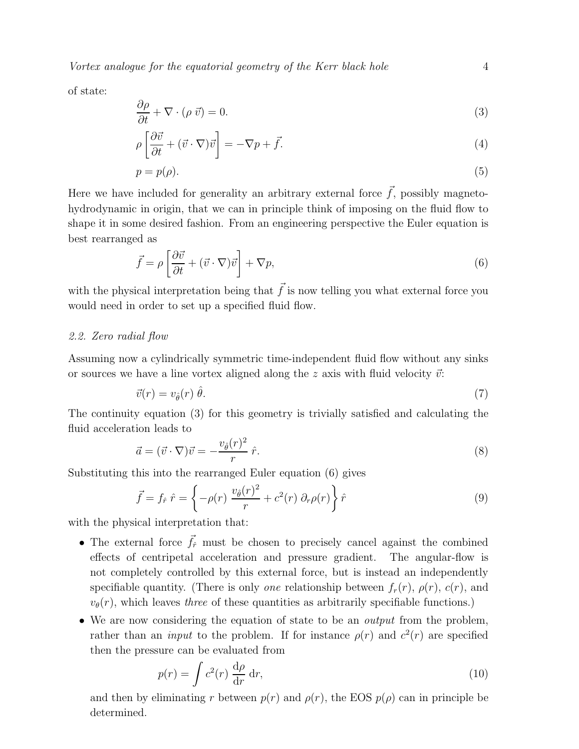of state:

$$
\frac{\partial \rho}{\partial t} + \nabla \cdot (\rho \, \vec{v}) = 0. \tag{3}
$$

$$
\rho \left[ \frac{\partial \vec{v}}{\partial t} + (\vec{v} \cdot \nabla) \vec{v} \right] = -\nabla p + \vec{f}.
$$
\n(4)

$$
p = p(\rho). \tag{5}
$$

Here we have included for generality an arbitrary external force  $\vec{f}$ , possibly magnetohydrodynamic in origin, that we can in principle think of imposing on the fluid flow to shape it in some desired fashion. From an engineering perspective the Euler equation is best rearranged as

$$
\vec{f} = \rho \left[ \frac{\partial \vec{v}}{\partial t} + (\vec{v} \cdot \nabla) \vec{v} \right] + \nabla p, \tag{6}
$$

with the physical interpretation being that  $\vec{f}$  is now telling you what external force you would need in order to set up a specified fluid flow.

### 2.2. Zero radial flow

Assuming now a cylindrically symmetric time-independent fluid flow without any sinks or sources we have a line vortex aligned along the z axis with fluid velocity  $\vec{v}$ :

$$
\vec{v}(r) = v_{\hat{\theta}}(r) \hat{\theta}.\tag{7}
$$

The continuity equation (3) for this geometry is trivially satisfied and calculating the fluid acceleration leads to

$$
\vec{a} = (\vec{v} \cdot \nabla)\vec{v} = -\frac{v_{\hat{\theta}}(r)^2}{r}\,\hat{r}.\tag{8}
$$

Substituting this into the rearranged Euler equation (6) gives

$$
\vec{f} = f_{\hat{r}} \hat{r} = \left\{-\rho(r) \frac{v_{\hat{\theta}}(r)^2}{r} + c^2(r) \partial_r \rho(r) \right\} \hat{r}
$$
\n(9)

with the physical interpretation that:

- The external force  $\vec{f}_f$  must be chosen to precisely cancel against the combined effects of centripetal acceleration and pressure gradient. The angular-flow is not completely controlled by this external force, but is instead an independently specifiable quantity. (There is only *one* relationship between  $f_r(r)$ ,  $\rho(r)$ ,  $c(r)$ , and  $v_{\theta}(r)$ , which leaves three of these quantities as arbitrarily specifiable functions.)
- We are now considering the equation of state to be an *output* from the problem, rather than an *input* to the problem. If for instance  $\rho(r)$  and  $c^2(r)$  are specified then the pressure can be evaluated from

$$
p(r) = \int c^2(r) \frac{d\rho}{dr} dr,
$$
\n(10)

and then by eliminating r between  $p(r)$  and  $\rho(r)$ , the EOS  $p(\rho)$  can in principle be determined.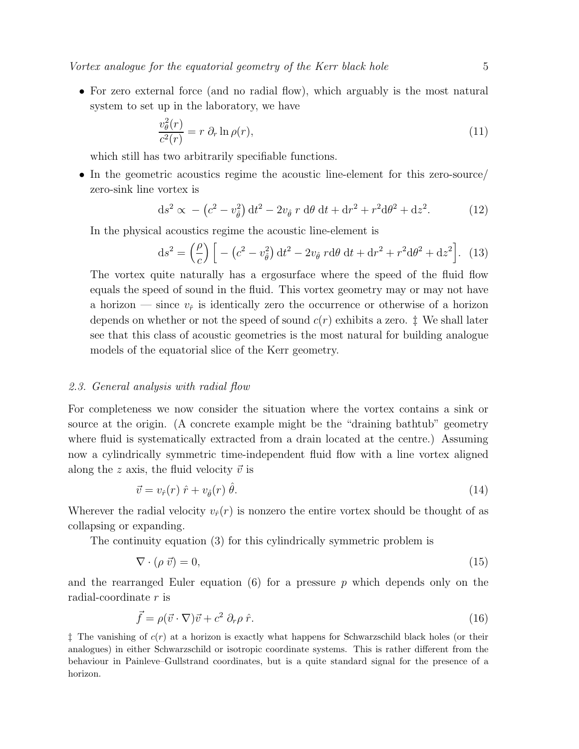• For zero external force (and no radial flow), which arguably is the most natural system to set up in the laboratory, we have

$$
\frac{v_{\theta}^{2}(r)}{c^{2}(r)} = r \partial_{r} \ln \rho(r), \qquad (11)
$$

which still has two arbitrarily specifiable functions.

• In the geometric acoustics regime the acoustic line-element for this zero-source/ zero-sink line vortex is

$$
ds^{2} \propto -\left(c^{2} - v_{\hat{\theta}}^{2}\right)dt^{2} - 2v_{\hat{\theta}} r d\theta dt + dr^{2} + r^{2}d\theta^{2} + dz^{2}.
$$
 (12)

In the physical acoustics regime the acoustic line-element is

$$
\mathrm{d}s^2 = \left(\frac{\rho}{c}\right) \left[ -\left(c^2 - v_\theta^2\right) \mathrm{d}t^2 - 2v_\theta \, r \mathrm{d}\theta \, \mathrm{d}t + \mathrm{d}r^2 + r^2 \mathrm{d}\theta^2 + \mathrm{d}z^2 \right]. \tag{13}
$$

The vortex quite naturally has a ergosurface where the speed of the fluid flow equals the speed of sound in the fluid. This vortex geometry may or may not have a horizon — since  $v_{\hat{r}}$  is identically zero the occurrence or otherwise of a horizon depends on whether or not the speed of sound  $c(r)$  exhibits a zero.  $\ddagger$  We shall later see that this class of acoustic geometries is the most natural for building analogue models of the equatorial slice of the Kerr geometry.

#### 2.3. General analysis with radial flow

For completeness we now consider the situation where the vortex contains a sink or source at the origin. (A concrete example might be the "draining bathtub" geometry where fluid is systematically extracted from a drain located at the centre.) Assuming now a cylindrically symmetric time-independent fluid flow with a line vortex aligned along the z axis, the fluid velocity  $\vec{v}$  is

$$
\vec{v} = v_{\hat{r}}(r) \hat{r} + v_{\hat{\theta}}(r) \hat{\theta}.
$$
\n(14)

Wherever the radial velocity  $v_r(r)$  is nonzero the entire vortex should be thought of as collapsing or expanding.

The continuity equation (3) for this cylindrically symmetric problem is

$$
\nabla \cdot (\rho \, \vec{v}) = 0,\tag{15}
$$

and the rearranged Euler equation (6) for a pressure  $p$  which depends only on the radial-coordinate r is

$$
\vec{f} = \rho(\vec{v} \cdot \nabla)\vec{v} + c^2 \partial_r \rho \hat{r}.
$$
\n(16)

 $\ddagger$  The vanishing of  $c(r)$  at a horizon is exactly what happens for Schwarzschild black holes (or their analogues) in either Schwarzschild or isotropic coordinate systems. This is rather different from the behaviour in Painleve–Gullstrand coordinates, but is a quite standard signal for the presence of a horizon.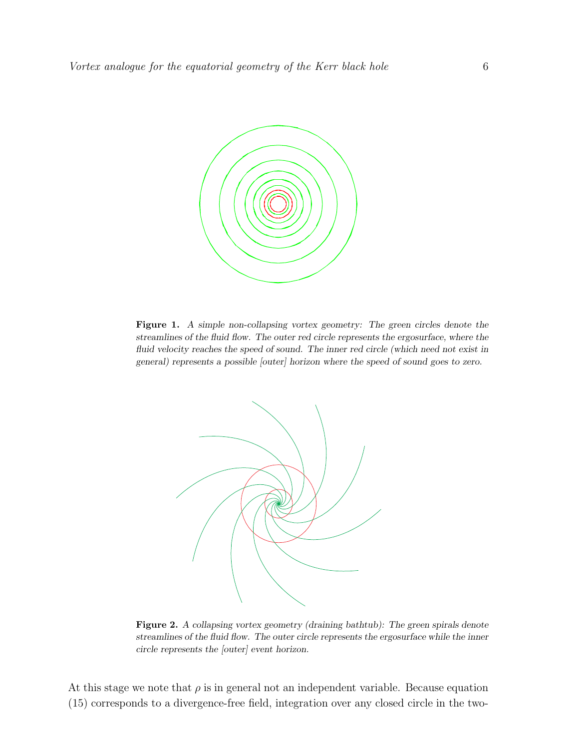

Figure 1. *A simple non-collapsing vortex geometry: The green circles denote the streamlines of the fluid flow. The outer red circle represents the ergosurface, where the fluid velocity reaches the speed of sound. The inner red circle (which need not exist in general) represents a possible [outer] horizon where the speed of sound goes to zero.*



Figure 2. A collapsing vortex geometry (draining bathtub): The green spirals denote *streamlines of the fluid flow. The outer circle represents the ergosurface while the inner circle represents the [outer] event horizon.*

At this stage we note that  $\rho$  is in general not an independent variable. Because equation (15) corresponds to a divergence-free field, integration over any closed circle in the two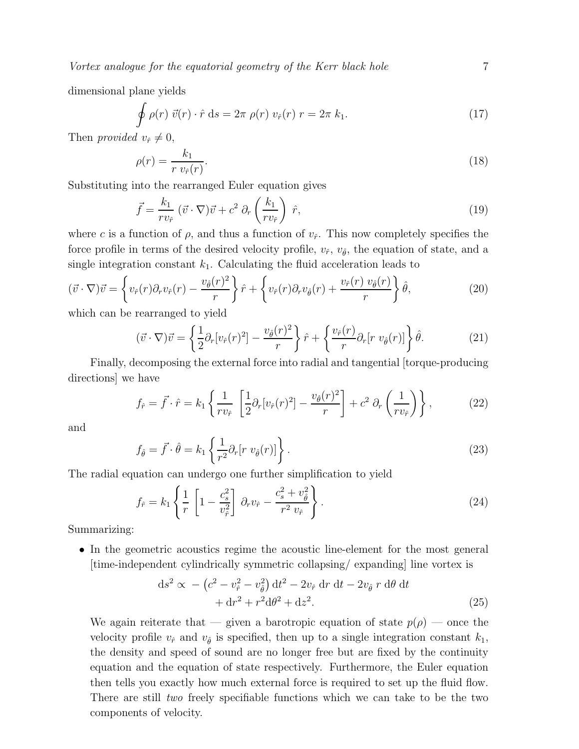dimensional plane yields

$$
\oint \rho(r) \vec{v}(r) \cdot \hat{r} ds = 2\pi \rho(r) v_{\hat{r}}(r) r = 2\pi k_1.
$$
\n(17)

Then provided  $v_{\hat{r}} \neq 0$ ,

$$
\rho(r) = \frac{k_1}{r v_{\hat{r}}(r)}.\tag{18}
$$

Substituting into the rearranged Euler equation gives

$$
\vec{f} = \frac{k_1}{r v_{\hat{r}}} \left( \vec{v} \cdot \nabla \right) \vec{v} + c^2 \partial_r \left( \frac{k_1}{r v_{\hat{r}}} \right) \hat{r},\tag{19}
$$

where c is a function of  $\rho$ , and thus a function of  $v_{\hat{r}}$ . This now completely specifies the force profile in terms of the desired velocity profile,  $v_{\hat{r}}$ ,  $v_{\hat{\theta}}$ , the equation of state, and a single integration constant  $k_1$ . Calculating the fluid acceleration leads to

$$
(\vec{v} \cdot \nabla)\vec{v} = \left\{ v_{\hat{r}}(r)\partial_r v_{\hat{r}}(r) - \frac{v_{\hat{\theta}}(r)^2}{r} \right\} \hat{r} + \left\{ v_{\hat{r}}(r)\partial_r v_{\hat{\theta}}(r) + \frac{v_{\hat{r}}(r) v_{\hat{\theta}}(r)}{r} \right\} \hat{\theta},
$$
\n(20)

which can be rearranged to yield

$$
(\vec{v} \cdot \nabla)\vec{v} = \left\{\frac{1}{2}\partial_r[v_{\hat{r}}(r)^2] - \frac{v_{\hat{\theta}}(r)^2}{r}\right\}\hat{r} + \left\{\frac{v_{\hat{r}}(r)}{r}\partial_r[r\ v_{\hat{\theta}}(r)]\right\}\hat{\theta}.\tag{21}
$$

Finally, decomposing the external force into radial and tangential [torque-producing directions] we have

$$
f_{\hat{r}} = \vec{f} \cdot \hat{r} = k_1 \left\{ \frac{1}{rv_{\hat{r}}} \left[ \frac{1}{2} \partial_r [v_{\hat{r}}(r)^2] - \frac{v_{\hat{\theta}}(r)^2}{r} \right] + c^2 \partial_r \left( \frac{1}{rv_{\hat{r}}} \right) \right\},\tag{22}
$$

and

$$
f_{\hat{\theta}} = \vec{f} \cdot \hat{\theta} = k_1 \left\{ \frac{1}{r^2} \partial_r [r \ v_{\hat{\theta}}(r)] \right\}.
$$
 (23)

The radial equation can undergo one further simplification to yield

$$
f_{\hat{r}} = k_1 \left\{ \frac{1}{r} \left[ 1 - \frac{c_s^2}{v_{\hat{r}}^2} \right] \partial_r v_{\hat{r}} - \frac{c_s^2 + v_{\hat{\theta}}^2}{r^2 v_{\hat{r}}} \right\}.
$$
 (24)

Summarizing:

• In the geometric acoustics regime the acoustic line-element for the most general [time-independent cylindrically symmetric collapsing/ expanding] line vortex is

$$
ds^{2} \propto -\left(c^{2} - v_{\hat{r}}^{2} - v_{\hat{\theta}}^{2}\right) dt^{2} - 2v_{\hat{r}} dr dt - 2v_{\hat{\theta}} r d\theta dt + dr^{2} + r^{2} d\theta^{2} + dz^{2}.
$$
 (25)

We again reiterate that — given a barotropic equation of state  $p(\rho)$  — once the velocity profile  $v_{\hat{r}}$  and  $v_{\hat{\theta}}$  is specified, then up to a single integration constant  $k_1$ , the density and speed of sound are no longer free but are fixed by the continuity equation and the equation of state respectively. Furthermore, the Euler equation then tells you exactly how much external force is required to set up the fluid flow. There are still two freely specifiable functions which we can take to be the two components of velocity.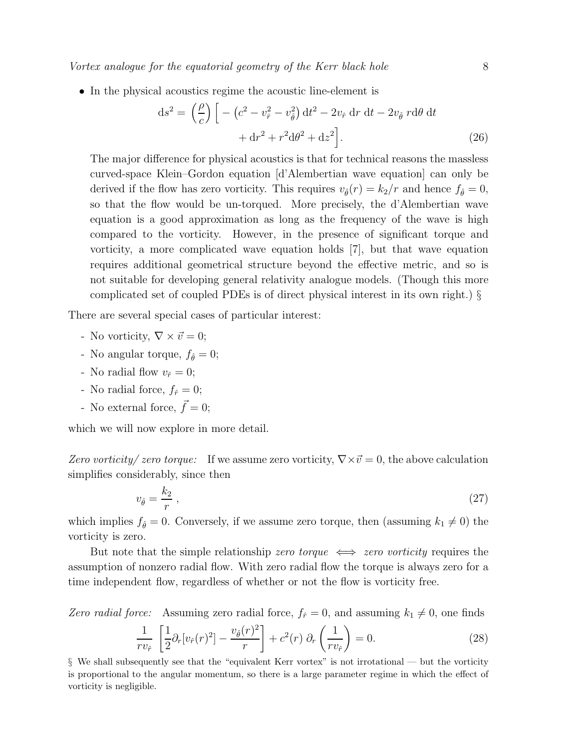• In the physical acoustics regime the acoustic line-element is

$$
ds^{2} = \left(\frac{\rho}{c}\right) \left[ -\left(c^{2} - v_{\hat{r}}^{2} - v_{\hat{\theta}}^{2}\right) dt^{2} - 2v_{\hat{r}} dr dt - 2v_{\hat{\theta}} r d\theta dt + dr^{2} + r^{2} d\theta^{2} + dz^{2} \right].
$$
\n(26)

The major difference for physical acoustics is that for technical reasons the massless curved-space Klein–Gordon equation [d'Alembertian wave equation] can only be derived if the flow has zero vorticity. This requires  $v_{\hat{\theta}}(r) = k_2/r$  and hence  $f_{\hat{\theta}} = 0$ , so that the flow would be un-torqued. More precisely, the d'Alembertian wave equation is a good approximation as long as the frequency of the wave is high compared to the vorticity. However, in the presence of significant torque and vorticity, a more complicated wave equation holds [7], but that wave equation requires additional geometrical structure beyond the effective metric, and so is not suitable for developing general relativity analogue models. (Though this more complicated set of coupled PDEs is of direct physical interest in its own right.) §

There are several special cases of particular interest:

- No vorticity,  $\nabla \times \vec{v} = 0$ ;
- No angular torque,  $f_{\hat{\theta}} = 0$ ;
- No radial flow  $v_{\hat{r}} = 0$ ;
- No radial force,  $f_{\hat{r}} = 0$ ;
- No external force,  $\vec{f} = 0$ ;

which we will now explore in more detail.

Zero vorticity/ zero torque: If we assume zero vorticity,  $\nabla \times \vec{v} = 0$ , the above calculation simplifies considerably, since then

$$
v_{\hat{\theta}} = \frac{k_2}{r} \,,\tag{27}
$$

which implies  $f_{\hat{\theta}} = 0$ . Conversely, if we assume zero torque, then (assuming  $k_1 \neq 0$ ) the vorticity is zero.

But note that the simple relationship *zero torque*  $\iff$  *zero vorticity* requires the assumption of nonzero radial flow. With zero radial flow the torque is always zero for a time independent flow, regardless of whether or not the flow is vorticity free.

Zero radial force: Assuming zero radial force,  $f_{\hat{r}} = 0$ , and assuming  $k_1 \neq 0$ , one finds

$$
\frac{1}{rv_{\hat{r}}} \left[ \frac{1}{2} \partial_r [v_{\hat{r}}(r)^2] - \frac{v_{\hat{\theta}}(r)^2}{r} \right] + c^2(r) \partial_r \left( \frac{1}{rv_{\hat{r}}} \right) = 0. \tag{28}
$$

§ We shall subsequently see that the "equivalent Kerr vortex" is not irrotational — but the vorticity is proportional to the angular momentum, so there is a large parameter regime in which the effect of vorticity is negligible.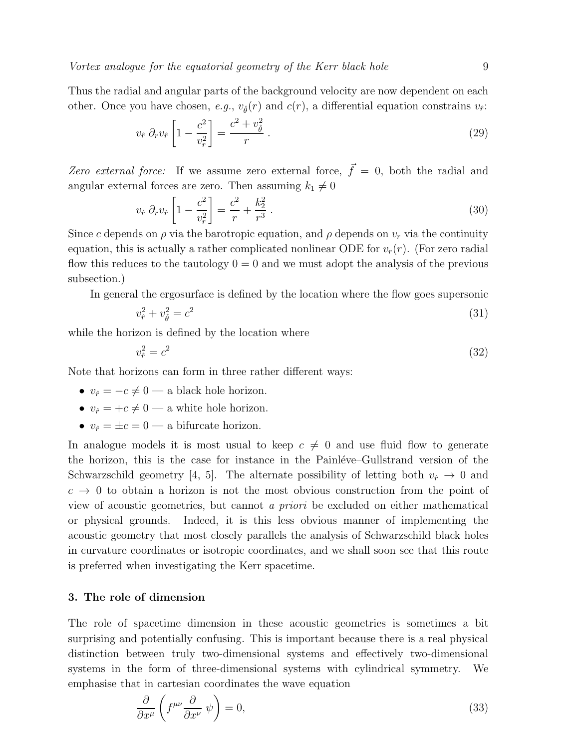Thus the radial and angular parts of the background velocity are now dependent on each other. Once you have chosen, e.g.,  $v_{\hat{\theta}}(r)$  and  $c(r)$ , a differential equation constrains  $v_{\hat{r}}$ :

$$
v_{\hat{r}} \partial_r v_{\hat{r}} \left[ 1 - \frac{c^2}{v_r^2} \right] = \frac{c^2 + v_{\hat{\theta}}^2}{r} \,. \tag{29}
$$

Zero external force: If we assume zero external force,  $\vec{f} = 0$ , both the radial and angular external forces are zero. Then assuming  $k_1 \neq 0$ 

$$
v_{\hat{r}} \partial_r v_{\hat{r}} \left[ 1 - \frac{c^2}{v_r^2} \right] = \frac{c^2}{r} + \frac{k_2^2}{r^3} \,. \tag{30}
$$

Since c depends on  $\rho$  via the barotropic equation, and  $\rho$  depends on  $v_r$  via the continuity equation, this is actually a rather complicated nonlinear ODE for  $v_r(r)$ . (For zero radial flow this reduces to the tautology  $0 = 0$  and we must adopt the analysis of the previous subsection.)

In general the ergosurface is defined by the location where the flow goes supersonic

$$
v_{\hat{r}}^2 + v_{\hat{\theta}}^2 = c^2 \tag{31}
$$

while the horizon is defined by the location where

$$
v_{\hat{r}}^2 = c^2 \tag{32}
$$

Note that horizons can form in three rather different ways:

- $v_{\hat{r}} = -c \neq 0$  a black hole horizon.
- $v_{\hat{r}} = +c \neq 0$  a white hole horizon.
- $v_{\hat{r}} = \pm c = 0$  a bifurcate horizon.

In analogue models it is most usual to keep  $c \neq 0$  and use fluid flow to generate the horizon, this is the case for instance in the Painléve–Gullstrand version of the Schwarzschild geometry [4, 5]. The alternate possibility of letting both  $v_{\hat{r}} \to 0$  and  $c \rightarrow 0$  to obtain a horizon is not the most obvious construction from the point of view of acoustic geometries, but cannot a priori be excluded on either mathematical or physical grounds. Indeed, it is this less obvious manner of implementing the acoustic geometry that most closely parallels the analysis of Schwarzschild black holes in curvature coordinates or isotropic coordinates, and we shall soon see that this route is preferred when investigating the Kerr spacetime.

#### 3. The role of dimension

The role of spacetime dimension in these acoustic geometries is sometimes a bit surprising and potentially confusing. This is important because there is a real physical distinction between truly two-dimensional systems and effectively two-dimensional systems in the form of three-dimensional systems with cylindrical symmetry. We emphasise that in cartesian coordinates the wave equation

$$
\frac{\partial}{\partial x^{\mu}}\left(f^{\mu\nu}\frac{\partial}{\partial x^{\nu}}\,\psi\right) = 0,\tag{33}
$$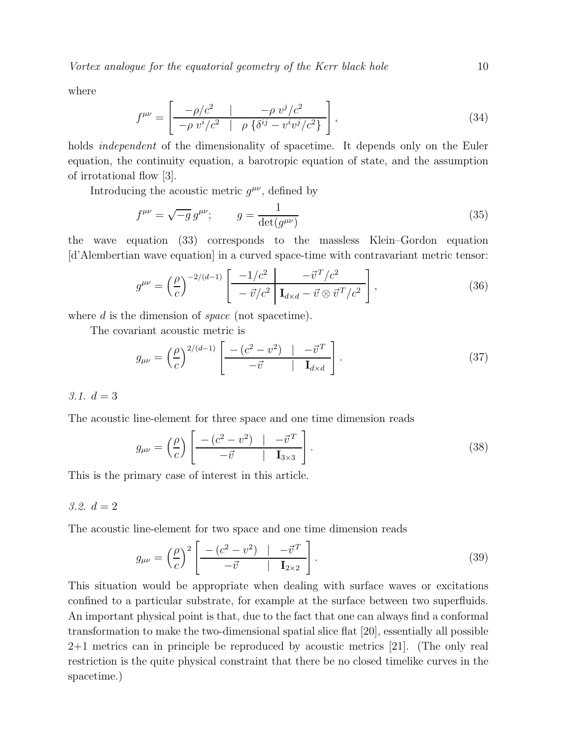where

$$
f^{\mu\nu} = \left[ \frac{-\rho/c^2}{-\rho v^i/c^2} \left| \rho \left\{ \delta^{ij} - v^i v^j/c^2 \right\} \right] \right],
$$
\n(34)

holds *independent* of the dimensionality of spacetime. It depends only on the Euler equation, the continuity equation, a barotropic equation of state, and the assumption of irrotational flow [3].

Introducing the acoustic metric  $g^{\mu\nu}$ , defined by

$$
f^{\mu\nu} = \sqrt{-g} g^{\mu\nu}; \qquad g = \frac{1}{\det(g^{\mu\nu})}
$$
\n(35)

the wave equation (33) corresponds to the massless Klein–Gordon equation [d'Alembertian wave equation] in a curved space-time with contravariant metric tensor:

$$
g^{\mu\nu} = \left(\frac{\rho}{c}\right)^{-2/(d-1)} \left[\frac{-1/c^2}{-\vec{v}/c^2} \frac{-\vec{v}^T/c^2}{\mathbf{I}_{d \times d} - \vec{v} \otimes \vec{v}^T/c^2}\right],\tag{36}
$$

where  $d$  is the dimension of *space* (not spacetime).

The covariant acoustic metric is

$$
g_{\mu\nu} = \left(\frac{\rho}{c}\right)^{2/(d-1)} \left[\frac{-\left(c^2 - v^2\right) \quad | \quad -\vec{v}^T}{-\vec{v} \quad | \quad \mathbf{I}_{d \times d}}\right].\tag{37}
$$

3.1.  $d = 3$ 

The acoustic line-element for three space and one time dimension reads

$$
g_{\mu\nu} = \left(\frac{\rho}{c}\right) \left[ \frac{-\left(c^2 - v^2\right) \quad | \quad -\vec{v}^T}{-\vec{v} \quad | \quad \mathbf{I}_{3\times 3}} \right].\tag{38}
$$

This is the primary case of interest in this article.

# 3.2.  $d = 2$

The acoustic line-element for two space and one time dimension reads

$$
g_{\mu\nu} = \left(\frac{\rho}{c}\right)^2 \left[\frac{-\left(c^2 - v^2\right) \quad | \quad -\vec{v}^T}{-\vec{v} \quad | \quad \mathbf{I}_{2\times 2}}\right].\tag{39}
$$

This situation would be appropriate when dealing with surface waves or excitations confined to a particular substrate, for example at the surface between two superfluids. An important physical point is that, due to the fact that one can always find a conformal transformation to make the two-dimensional spatial slice flat [20], essentially all possible 2+1 metrics can in principle be reproduced by acoustic metrics [21]. (The only real restriction is the quite physical constraint that there be no closed timelike curves in the spacetime.)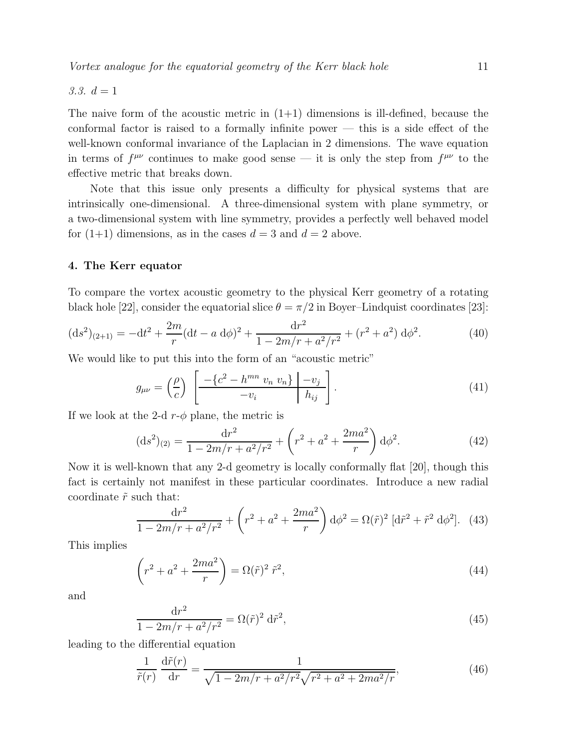3.3.  $d = 1$ 

The naive form of the acoustic metric in  $(1+1)$  dimensions is ill-defined, because the conformal factor is raised to a formally infinite power — this is a side effect of the well-known conformal invariance of the Laplacian in 2 dimensions. The wave equation in terms of  $f^{\mu\nu}$  continues to make good sense — it is only the step from  $f^{\mu\nu}$  to the effective metric that breaks down.

Note that this issue only presents a difficulty for physical systems that are intrinsically one-dimensional. A three-dimensional system with plane symmetry, or a two-dimensional system with line symmetry, provides a perfectly well behaved model for  $(1+1)$  dimensions, as in the cases  $d = 3$  and  $d = 2$  above.

# 4. The Kerr equator

To compare the vortex acoustic geometry to the physical Kerr geometry of a rotating black hole [22], consider the equatorial slice  $\theta = \pi/2$  in Boyer–Lindquist coordinates [23]:

$$
(\mathrm{d}s^2)_{(2+1)} = -\mathrm{d}t^2 + \frac{2m}{r}(\mathrm{d}t - a\;\mathrm{d}\phi)^2 + \frac{\mathrm{d}r^2}{1 - 2m/r + a^2/r^2} + (r^2 + a^2)\;\mathrm{d}\phi^2. \tag{40}
$$

We would like to put this into the form of an "acoustic metric"

$$
g_{\mu\nu} = \left(\frac{\rho}{c}\right) \left[ \frac{-\left\{c^2 - h^{mn} v_n v_n\right\} \middle| -v_j}{-v_i} \right]. \tag{41}
$$

If we look at the 2-d  $r-\phi$  plane, the metric is

$$
(\mathrm{d}s^2)_{(2)} = \frac{\mathrm{d}r^2}{1 - 2m/r + a^2/r^2} + \left(r^2 + a^2 + \frac{2ma^2}{r}\right)\mathrm{d}\phi^2. \tag{42}
$$

Now it is well-known that any 2-d geometry is locally conformally flat [20], though this fact is certainly not manifest in these particular coordinates. Introduce a new radial coordinate  $\tilde{r}$  such that:

$$
\frac{\mathrm{d}r^2}{1 - 2m/r + a^2/r^2} + \left(r^2 + a^2 + \frac{2ma^2}{r}\right)\mathrm{d}\phi^2 = \Omega(\tilde{r})^2 \left[\mathrm{d}\tilde{r}^2 + \tilde{r}^2 \mathrm{d}\phi^2\right]. \tag{43}
$$

This implies

$$
\left(r^2 + a^2 + \frac{2ma^2}{r}\right) = \Omega(\tilde{r})^2 \tilde{r}^2,\tag{44}
$$

and

$$
\frac{\mathrm{d}r^2}{1 - 2m/r + a^2/r^2} = \Omega(\tilde{r})^2 \,\mathrm{d}\tilde{r}^2,\tag{45}
$$

leading to the differential equation

$$
\frac{1}{\tilde{r}(r)} \frac{d\tilde{r}(r)}{dr} = \frac{1}{\sqrt{1 - 2m/r + a^2/r^2}\sqrt{r^2 + a^2 + 2ma^2/r}},\tag{46}
$$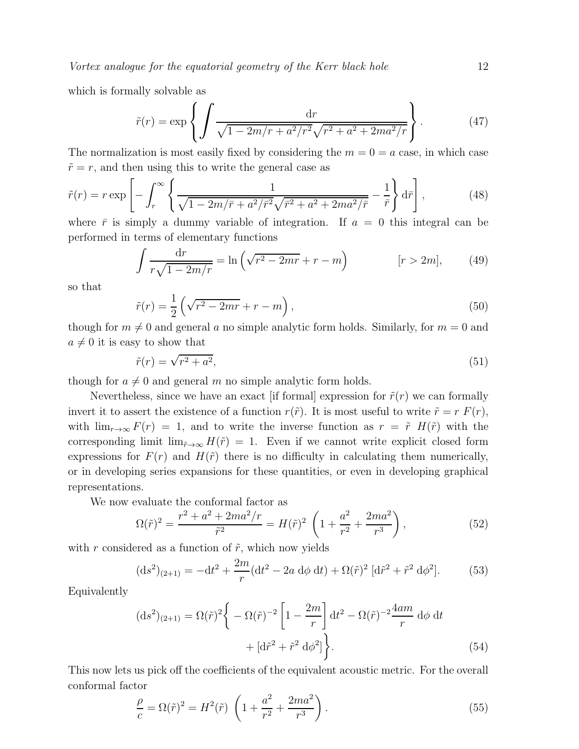which is formally solvable as

$$
\tilde{r}(r) = \exp\left\{ \int \frac{dr}{\sqrt{1 - 2m/r + a^2/r^2}\sqrt{r^2 + a^2 + 2ma^2/r}} \right\}.
$$
\n(47)

The normalization is most easily fixed by considering the  $m = 0 = a$  case, in which case  $\tilde{r} = r$ , and then using this to write the general case as

$$
\tilde{r}(r) = r \exp\left[-\int_r^{\infty} \left\{\frac{1}{\sqrt{1 - 2m/\bar{r} + a^2/\bar{r}^2} \sqrt{\bar{r}^2 + a^2 + 2ma^2/\bar{r}}} - \frac{1}{\bar{r}}\right\} d\bar{r}\right],
$$
\n(48)

where  $\bar{r}$  is simply a dummy variable of integration. If  $a = 0$  this integral can be performed in terms of elementary functions

$$
\int \frac{\mathrm{d}r}{r\sqrt{1-2m/r}} = \ln\left(\sqrt{r^2-2mr} + r - m\right) \qquad [r > 2m],\qquad(49)
$$

so that

$$
\tilde{r}(r) = \frac{1}{2} \left( \sqrt{r^2 - 2mr} + r - m \right),\tag{50}
$$

though for  $m \neq 0$  and general a no simple analytic form holds. Similarly, for  $m = 0$  and  $a \neq 0$  it is easy to show that

$$
\tilde{r}(r) = \sqrt{r^2 + a^2},\tag{51}
$$

though for  $a \neq 0$  and general m no simple analytic form holds.

Nevertheless, since we have an exact [if formal] expression for  $\tilde{r}(r)$  we can formally invert it to assert the existence of a function  $r(\tilde{r})$ . It is most useful to write  $\tilde{r} = r F(r)$ , with  $\lim_{r\to\infty} F(r) = 1$ , and to write the inverse function as  $r = \tilde{r}$  H( $\tilde{r}$ ) with the corresponding limit  $\lim_{\tilde{r}\to\infty} H(\tilde{r}) = 1$ . Even if we cannot write explicit closed form expressions for  $F(r)$  and  $H(\tilde{r})$  there is no difficulty in calculating them numerically, or in developing series expansions for these quantities, or even in developing graphical representations.

We now evaluate the conformal factor as

$$
\Omega(\tilde{r})^2 = \frac{r^2 + a^2 + 2ma^2/r}{\tilde{r}^2} = H(\tilde{r})^2 \left(1 + \frac{a^2}{r^2} + \frac{2ma^2}{r^3}\right),\tag{52}
$$

with r considered as a function of  $\tilde{r}$ , which now yields

$$
(\mathrm{d}s^2)_{(2+1)} = -\mathrm{d}t^2 + \frac{2m}{r}(\mathrm{d}t^2 - 2a \mathrm{d}\phi \mathrm{d}t) + \Omega(\tilde{r})^2 [\mathrm{d}\tilde{r}^2 + \tilde{r}^2 \mathrm{d}\phi^2]. \tag{53}
$$

Equivalently

$$
(\mathrm{d}s^{2})_{(2+1)} = \Omega(\tilde{r})^{2} \left\{ -\Omega(\tilde{r})^{-2} \left[ 1 - \frac{2m}{r} \right] \mathrm{d}t^{2} - \Omega(\tilde{r})^{-2} \frac{4am}{r} \, \mathrm{d}\phi \, \mathrm{d}t + \left[ \mathrm{d}\tilde{r}^{2} + \tilde{r}^{2} \, \mathrm{d}\phi^{2} \right] \right\}.
$$
 (54)

This now lets us pick off the coefficients of the equivalent acoustic metric. For the overall conformal factor

$$
\frac{\rho}{c} = \Omega(\tilde{r})^2 = H^2(\tilde{r}) \left( 1 + \frac{a^2}{r^2} + \frac{2ma^2}{r^3} \right). \tag{55}
$$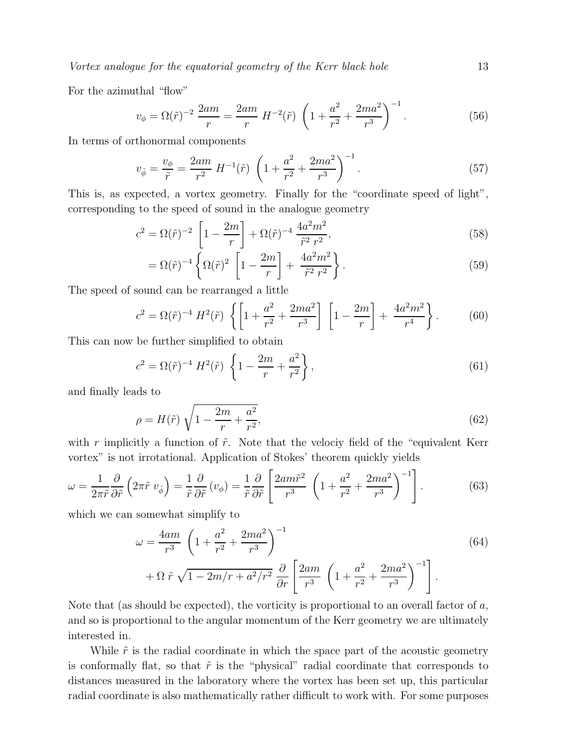For the azimuthal "flow"

$$
v_{\phi} = \Omega(\tilde{r})^{-2} \frac{2am}{r} = \frac{2am}{r} H^{-2}(\tilde{r}) \left( 1 + \frac{a^2}{r^2} + \frac{2ma^2}{r^3} \right)^{-1}.
$$
 (56)

In terms of orthonormal components

$$
v_{\hat{\phi}} = \frac{v_{\phi}}{\tilde{r}} = \frac{2am}{r^2} H^{-1}(\tilde{r}) \left( 1 + \frac{a^2}{r^2} + \frac{2ma^2}{r^3} \right)^{-1}.
$$
 (57)

This is, as expected, a vortex geometry. Finally for the "coordinate speed of light", corresponding to the speed of sound in the analogue geometry

$$
c^{2} = \Omega(\tilde{r})^{-2} \left[ 1 - \frac{2m}{r} \right] + \Omega(\tilde{r})^{-4} \frac{4a^{2}m^{2}}{\tilde{r}^{2}r^{2}},
$$
\n(58)

$$
= \Omega(\tilde{r})^{-4} \left\{ \Omega(\tilde{r})^2 \left[ 1 - \frac{2m}{r} \right] + \frac{4a^2m^2}{\tilde{r}^2 r^2} \right\}.
$$
 (59)

The speed of sound can be rearranged a little

$$
c^{2} = \Omega(\tilde{r})^{-4} H^{2}(\tilde{r}) \left\{ \left[ 1 + \frac{a^{2}}{r^{2}} + \frac{2ma^{2}}{r^{3}} \right] \left[ 1 - \frac{2m}{r} \right] + \frac{4a^{2}m^{2}}{r^{4}} \right\}.
$$
 (60)

This can now be further simplified to obtain

$$
c^{2} = \Omega(\tilde{r})^{-4} H^{2}(\tilde{r}) \left\{ 1 - \frac{2m}{r} + \frac{a^{2}}{r^{2}} \right\},
$$
\n(61)

and finally leads to

$$
\rho = H(\tilde{r}) \sqrt{1 - \frac{2m}{r} + \frac{a^2}{r^2}},\tag{62}
$$

with r implicitly a function of  $\tilde{r}$ . Note that the velociy field of the "equivalent Kerr vortex" is not irrotational. Application of Stokes' theorem quickly yields

$$
\omega = \frac{1}{2\pi\tilde{r}} \frac{\partial}{\partial \tilde{r}} \left( 2\pi \tilde{r} \ v_{\phi} \right) = \frac{1}{\tilde{r}} \frac{\partial}{\partial \tilde{r}} \left( v_{\phi} \right) = \frac{1}{\tilde{r}} \frac{\partial}{\partial \tilde{r}} \left[ \frac{2am\tilde{r}^2}{r^3} \ \left( 1 + \frac{a^2}{r^2} + \frac{2ma^2}{r^3} \right)^{-1} \right]. \tag{63}
$$

which we can somewhat simplify to

$$
\omega = \frac{4am}{r^3} \left( 1 + \frac{a^2}{r^2} + \frac{2ma^2}{r^3} \right)^{-1} + \Omega \tilde{r} \sqrt{1 - 2m/r + a^2/r^2} \frac{\partial}{\partial r} \left[ \frac{2am}{r^3} \left( 1 + \frac{a^2}{r^2} + \frac{2ma^2}{r^3} \right)^{-1} \right].
$$
\n(64)

Note that (as should be expected), the vorticity is proportional to an overall factor of  $a$ , and so is proportional to the angular momentum of the Kerr geometry we are ultimately interested in.

While  $\tilde{r}$  is the radial coordinate in which the space part of the acoustic geometry is conformally flat, so that  $\tilde{r}$  is the "physical" radial coordinate that corresponds to distances measured in the laboratory where the vortex has been set up, this particular radial coordinate is also mathematically rather difficult to work with. For some purposes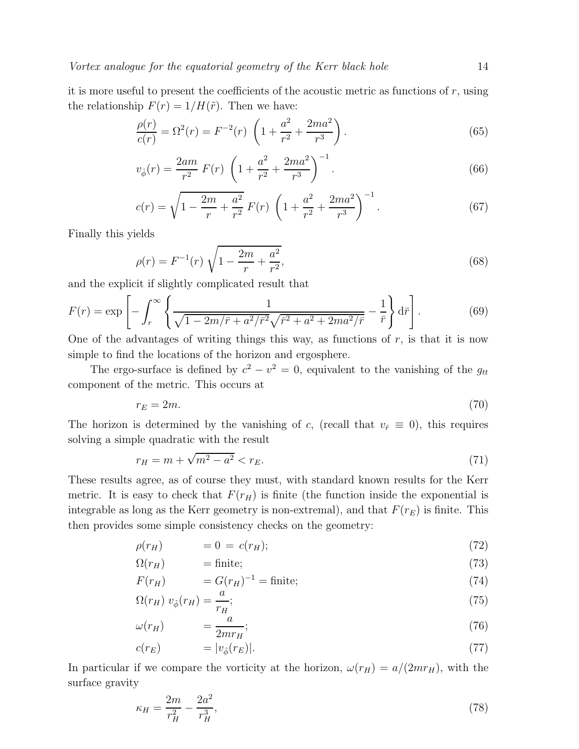it is more useful to present the coefficients of the acoustic metric as functions of  $r$ , using the relationship  $F(r) = 1/H(\tilde{r})$ . Then we have:

$$
\frac{\rho(r)}{c(r)} = \Omega^2(r) = F^{-2}(r) \left( 1 + \frac{a^2}{r^2} + \frac{2ma^2}{r^3} \right).
$$
\n(65)

$$
v_{\hat{\phi}}(r) = \frac{2am}{r^2} F(r) \left( 1 + \frac{a^2}{r^2} + \frac{2ma^2}{r^3} \right)^{-1}.
$$
 (66)

$$
c(r) = \sqrt{1 - \frac{2m}{r} + \frac{a^2}{r^2}} F(r) \left( 1 + \frac{a^2}{r^2} + \frac{2ma^2}{r^3} \right)^{-1}.
$$
 (67)

Finally this yields

$$
\rho(r) = F^{-1}(r)\sqrt{1 - \frac{2m}{r} + \frac{a^2}{r^2}},\tag{68}
$$

and the explicit if slightly complicated result that

$$
F(r) = \exp\left[-\int_r^{\infty} \left\{\frac{1}{\sqrt{1 - 2m/\bar{r} + a^2/\bar{r}^2}\sqrt{\bar{r}^2 + a^2 + 2ma^2/\bar{r}}} - \frac{1}{\bar{r}}\right\} d\bar{r}\right].
$$
 (69)

One of the advantages of writing things this way, as functions of  $r$ , is that it is now simple to find the locations of the horizon and ergosphere.

The ergo-surface is defined by  $c^2 - v^2 = 0$ , equivalent to the vanishing of the  $g_{tt}$ component of the metric. This occurs at

$$
r_E = 2m.\tag{70}
$$

The horizon is determined by the vanishing of c, (recall that  $v_{\hat{r}} \equiv 0$ ), this requires solving a simple quadratic with the result

$$
r_H = m + \sqrt{m^2 - a^2} < r_E. \tag{71}
$$

These results agree, as of course they must, with standard known results for the Kerr metric. It is easy to check that  $F(r_H)$  is finite (the function inside the exponential is integrable as long as the Kerr geometry is non-extremal), and that  $F(r_E)$  is finite. This then provides some simple consistency checks on the geometry:

$$
\rho(r_H) = 0 = c(r_H); \tag{72}
$$

$$
\Omega(r_H) \qquad \qquad = \text{finite};\tag{73}
$$

$$
F(r_H) = G(r_H)^{-1} = \text{finite};\tag{74}
$$

$$
\Omega(r_H) \ v_{\hat{\phi}}(r_H) = \frac{a}{r_H};\tag{75}
$$

$$
\omega(r_H) \qquad \qquad = \frac{a}{2mr_H};\tag{76}
$$

$$
c(r_E) = |v_{\hat{\phi}}(r_E)|. \tag{77}
$$

In particular if we compare the vorticity at the horizon,  $\omega(r_H) = a/(2mr_H)$ , with the surface gravity

$$
\kappa_H = \frac{2m}{r_H^2} - \frac{2a^2}{r_H^3},\tag{78}
$$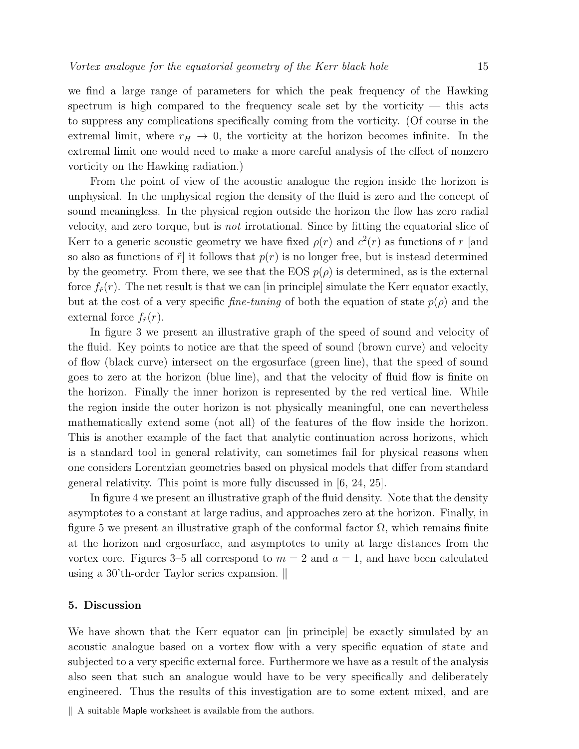we find a large range of parameters for which the peak frequency of the Hawking spectrum is high compared to the frequency scale set by the vorticity — this acts to suppress any complications specifically coming from the vorticity. (Of course in the extremal limit, where  $r_H \rightarrow 0$ , the vorticity at the horizon becomes infinite. In the extremal limit one would need to make a more careful analysis of the effect of nonzero vorticity on the Hawking radiation.)

From the point of view of the acoustic analogue the region inside the horizon is unphysical. In the unphysical region the density of the fluid is zero and the concept of sound meaningless. In the physical region outside the horizon the flow has zero radial velocity, and zero torque, but is not irrotational. Since by fitting the equatorial slice of Kerr to a generic acoustic geometry we have fixed  $\rho(r)$  and  $c^2(r)$  as functions of r [and so also as functions of  $\tilde{r}$  it follows that  $p(r)$  is no longer free, but is instead determined by the geometry. From there, we see that the EOS  $p(\rho)$  is determined, as is the external force  $f_{\hat{r}}(r)$ . The net result is that we can [in principle] simulate the Kerr equator exactly, but at the cost of a very specific *fine-tuning* of both the equation of state  $p(\rho)$  and the external force  $f_{\hat{r}}(r)$ .

In figure 3 we present an illustrative graph of the speed of sound and velocity of the fluid. Key points to notice are that the speed of sound (brown curve) and velocity of flow (black curve) intersect on the ergosurface (green line), that the speed of sound goes to zero at the horizon (blue line), and that the velocity of fluid flow is finite on the horizon. Finally the inner horizon is represented by the red vertical line. While the region inside the outer horizon is not physically meaningful, one can nevertheless mathematically extend some (not all) of the features of the flow inside the horizon. This is another example of the fact that analytic continuation across horizons, which is a standard tool in general relativity, can sometimes fail for physical reasons when one considers Lorentzian geometries based on physical models that differ from standard general relativity. This point is more fully discussed in [6, 24, 25].

In figure 4 we present an illustrative graph of the fluid density. Note that the density asymptotes to a constant at large radius, and approaches zero at the horizon. Finally, in figure 5 we present an illustrative graph of the conformal factor  $\Omega$ , which remains finite at the horizon and ergosurface, and asymptotes to unity at large distances from the vortex core. Figures 3–5 all correspond to  $m = 2$  and  $a = 1$ , and have been calculated using a 30'th-order Taylor series expansion.  $\parallel$ 

# 5. Discussion

We have shown that the Kerr equator can [in principle] be exactly simulated by an acoustic analogue based on a vortex flow with a very specific equation of state and subjected to a very specific external force. Furthermore we have as a result of the analysis also seen that such an analogue would have to be very specifically and deliberately engineered. Thus the results of this investigation are to some extent mixed, and are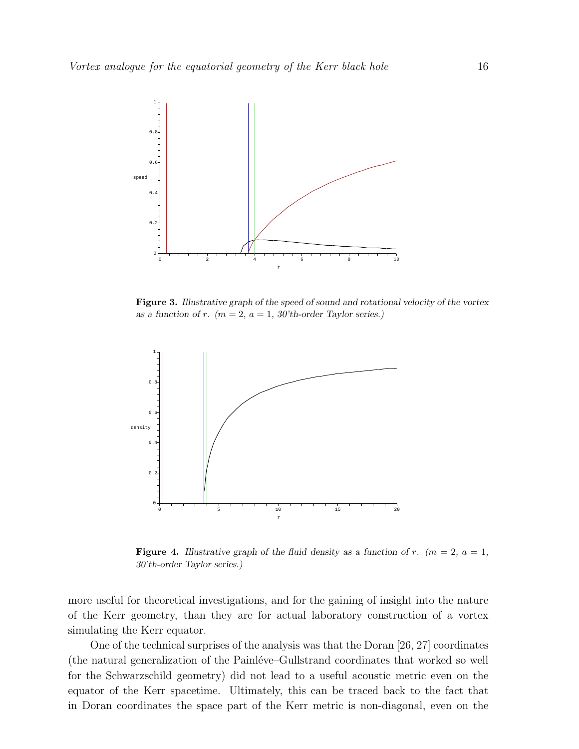

Figure 3. *Illustrative graph of the speed of sound and rotational velocity of the vortex as a function of r.*  $(m = 2, a = 1, 30$ 'th-order Taylor series.)



**Figure 4.** Illustrative graph of the fluid density as a function of r.  $(m = 2, a = 1, a)$ *30'th-order Taylor series.)*

more useful for theoretical investigations, and for the gaining of insight into the nature of the Kerr geometry, than they are for actual laboratory construction of a vortex simulating the Kerr equator.

One of the technical surprises of the analysis was that the Doran [26, 27] coordinates (the natural generalization of the Painléve–Gullstrand coordinates that worked so well for the Schwarzschild geometry) did not lead to a useful acoustic metric even on the equator of the Kerr spacetime. Ultimately, this can be traced back to the fact that in Doran coordinates the space part of the Kerr metric is non-diagonal, even on the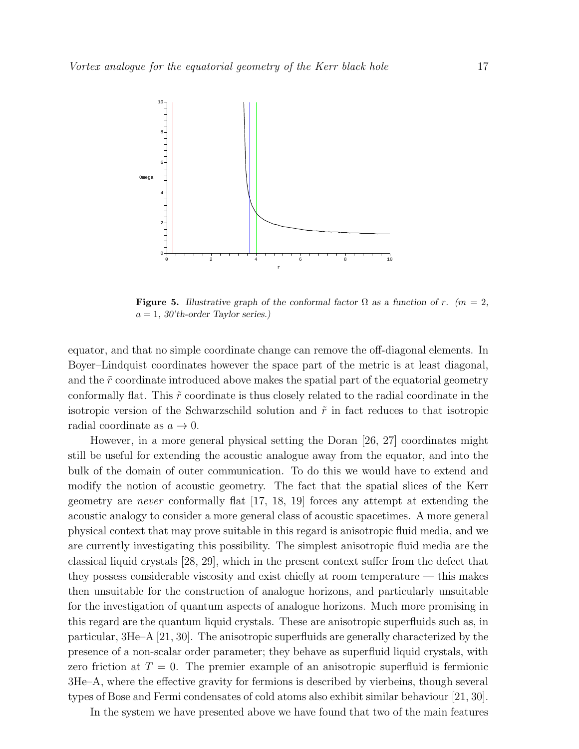

**Figure 5.** Illustrative graph of the conformal factor  $\Omega$  as a function of r. (m = 2, a = 1*, 30'th-order Taylor series.)*

equator, and that no simple coordinate change can remove the off-diagonal elements. In Boyer–Lindquist coordinates however the space part of the metric is at least diagonal, and the  $\tilde{r}$  coordinate introduced above makes the spatial part of the equatorial geometry conformally flat. This  $\tilde{r}$  coordinate is thus closely related to the radial coordinate in the isotropic version of the Schwarzschild solution and  $\tilde{r}$  in fact reduces to that isotropic radial coordinate as  $a \to 0$ .

However, in a more general physical setting the Doran [26, 27] coordinates might still be useful for extending the acoustic analogue away from the equator, and into the bulk of the domain of outer communication. To do this we would have to extend and modify the notion of acoustic geometry. The fact that the spatial slices of the Kerr geometry are never conformally flat [17, 18, 19] forces any attempt at extending the acoustic analogy to consider a more general class of acoustic spacetimes. A more general physical context that may prove suitable in this regard is anisotropic fluid media, and we are currently investigating this possibility. The simplest anisotropic fluid media are the classical liquid crystals [28, 29], which in the present context suffer from the defect that they possess considerable viscosity and exist chiefly at room temperature — this makes then unsuitable for the construction of analogue horizons, and particularly unsuitable for the investigation of quantum aspects of analogue horizons. Much more promising in this regard are the quantum liquid crystals. These are anisotropic superfluids such as, in particular, 3He–A [21, 30]. The anisotropic superfluids are generally characterized by the presence of a non-scalar order parameter; they behave as superfluid liquid crystals, with zero friction at  $T = 0$ . The premier example of an anisotropic superfluid is fermionic 3He–A, where the effective gravity for fermions is described by vierbeins, though several types of Bose and Fermi condensates of cold atoms also exhibit similar behaviour [21, 30].

In the system we have presented above we have found that two of the main features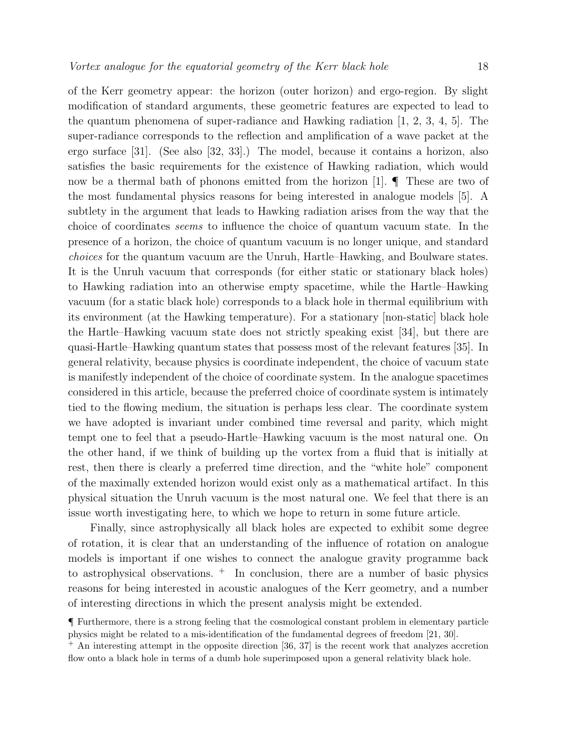of the Kerr geometry appear: the horizon (outer horizon) and ergo-region. By slight modification of standard arguments, these geometric features are expected to lead to the quantum phenomena of super-radiance and Hawking radiation  $[1, 2, 3, 4, 5]$ . The super-radiance corresponds to the reflection and amplification of a wave packet at the ergo surface [31]. (See also [32, 33].) The model, because it contains a horizon, also satisfies the basic requirements for the existence of Hawking radiation, which would now be a thermal bath of phonons emitted from the horizon [1].  $\P$  These are two of the most fundamental physics reasons for being interested in analogue models [5]. A subtlety in the argument that leads to Hawking radiation arises from the way that the choice of coordinates seems to influence the choice of quantum vacuum state. In the presence of a horizon, the choice of quantum vacuum is no longer unique, and standard choices for the quantum vacuum are the Unruh, Hartle–Hawking, and Boulware states. It is the Unruh vacuum that corresponds (for either static or stationary black holes) to Hawking radiation into an otherwise empty spacetime, while the Hartle–Hawking vacuum (for a static black hole) corresponds to a black hole in thermal equilibrium with its environment (at the Hawking temperature). For a stationary [non-static] black hole the Hartle–Hawking vacuum state does not strictly speaking exist [34], but there are quasi-Hartle–Hawking quantum states that possess most of the relevant features [35]. In general relativity, because physics is coordinate independent, the choice of vacuum state is manifestly independent of the choice of coordinate system. In the analogue spacetimes considered in this article, because the preferred choice of coordinate system is intimately tied to the flowing medium, the situation is perhaps less clear. The coordinate system we have adopted is invariant under combined time reversal and parity, which might tempt one to feel that a pseudo-Hartle–Hawking vacuum is the most natural one. On the other hand, if we think of building up the vortex from a fluid that is initially at rest, then there is clearly a preferred time direction, and the "white hole" component of the maximally extended horizon would exist only as a mathematical artifact. In this physical situation the Unruh vacuum is the most natural one. We feel that there is an issue worth investigating here, to which we hope to return in some future article.

Finally, since astrophysically all black holes are expected to exhibit some degree of rotation, it is clear that an understanding of the influence of rotation on analogue models is important if one wishes to connect the analogue gravity programme back to astrophysical observations.  $+$  In conclusion, there are a number of basic physics reasons for being interested in acoustic analogues of the Kerr geometry, and a number of interesting directions in which the present analysis might be extended.

<sup>¶</sup> Furthermore, there is a strong feeling that the cosmological constant problem in elementary particle physics might be related to a mis-identification of the fundamental degrees of freedom [21, 30].

<sup>+</sup> An interesting attempt in the opposite direction [36, 37] is the recent work that analyzes accretion flow onto a black hole in terms of a dumb hole superimposed upon a general relativity black hole.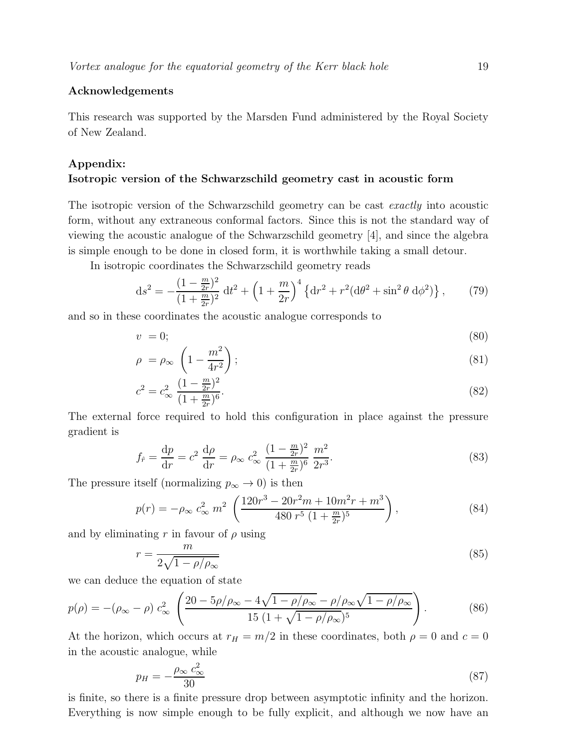# Acknowledgements

This research was supported by the Marsden Fund administered by the Royal Society of New Zealand.

# Appendix:

# Isotropic version of the Schwarzschild geometry cast in acoustic form

The isotropic version of the Schwarzschild geometry can be cast *exactly* into acoustic form, without any extraneous conformal factors. Since this is not the standard way of viewing the acoustic analogue of the Schwarzschild geometry [4], and since the algebra is simple enough to be done in closed form, it is worthwhile taking a small detour.

In isotropic coordinates the Schwarzschild geometry reads

$$
ds^{2} = -\frac{(1 - \frac{m}{2r})^{2}}{(1 + \frac{m}{2r})^{2}} dt^{2} + \left(1 + \frac{m}{2r}\right)^{4} \left\{dr^{2} + r^{2} (d\theta^{2} + \sin^{2}\theta \ d\phi^{2})\right\},
$$
 (79)

and so in these coordinates the acoustic analogue corresponds to

$$
v = 0; \tag{80}
$$

$$
\rho = \rho_{\infty} \left( 1 - \frac{m^2}{4r^2} \right); \tag{81}
$$

$$
c^2 = c_{\infty}^2 \frac{(1 - \frac{m}{2r})^2}{(1 + \frac{m}{2r})^6}.
$$
\n(82)

The external force required to hold this configuration in place against the pressure gradient is

$$
f_{\hat{r}} = \frac{dp}{dr} = c^2 \frac{d\rho}{dr} = \rho_{\infty} c_{\infty}^2 \frac{(1 - \frac{m}{2r})^2}{(1 + \frac{m}{2r})^6} \frac{m^2}{2r^3}.
$$
 (83)

The pressure itself (normalizing  $p_{\infty} \to 0$ ) is then

$$
p(r) = -\rho_{\infty} c_{\infty}^2 m^2 \left( \frac{120r^3 - 20r^2m + 10m^2r + m^3}{480r^5 (1 + \frac{m}{2r})^5} \right),
$$
 (84)

and by eliminating r in favour of  $\rho$  using

$$
r = \frac{m}{2\sqrt{1 - \rho/\rho_{\infty}}} \tag{85}
$$

we can deduce the equation of state

$$
p(\rho) = -(\rho_{\infty} - \rho) c_{\infty}^2 \left( \frac{20 - 5\rho/\rho_{\infty} - 4\sqrt{1 - \rho/\rho_{\infty}} - \rho/\rho_{\infty}\sqrt{1 - \rho/\rho_{\infty}}}{15 (1 + \sqrt{1 - \rho/\rho_{\infty}})^5} \right).
$$
 (86)

At the horizon, which occurs at  $r_H = m/2$  in these coordinates, both  $\rho = 0$  and  $c = 0$ in the acoustic analogue, while

$$
p_H = -\frac{\rho_\infty \, c_\infty^2}{30} \tag{87}
$$

is finite, so there is a finite pressure drop between asymptotic infinity and the horizon. Everything is now simple enough to be fully explicit, and although we now have an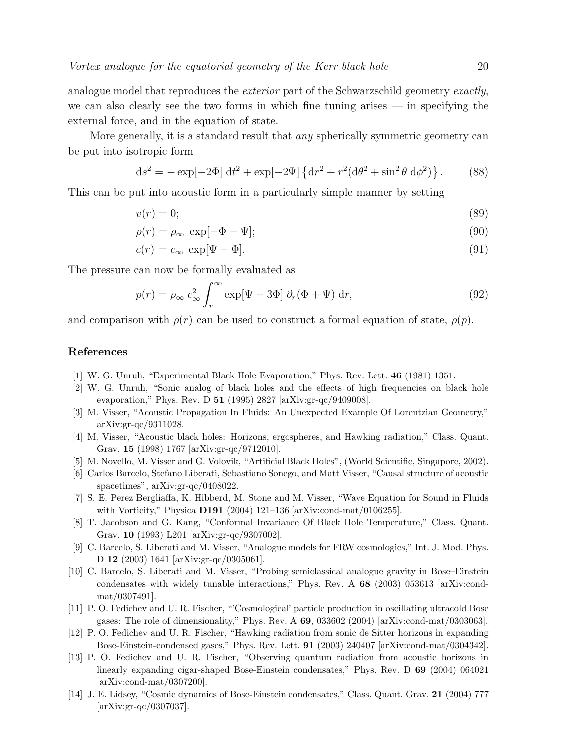analogue model that reproduces the *exterior* part of the Schwarzschild geometry *exactly*, we can also clearly see the two forms in which fine tuning arises — in specifying the external force, and in the equation of state.

More generally, it is a standard result that any spherically symmetric geometry can be put into isotropic form

$$
ds^{2} = -\exp[-2\Phi] dt^{2} + \exp[-2\Psi] \{dr^{2} + r^{2}(d\theta^{2} + \sin^{2}\theta d\phi^{2})\}.
$$
 (88)

This can be put into acoustic form in a particularly simple manner by setting

$$
v(r) = 0;\t\t(89)
$$

$$
\rho(r) = \rho_{\infty} \exp[-\Phi - \Psi];\tag{90}
$$

$$
c(r) = c_{\infty} \exp[\Psi - \Phi]. \tag{91}
$$

The pressure can now be formally evaluated as

$$
p(r) = \rho_{\infty} c_{\infty}^2 \int_r^{\infty} \exp[\Psi - 3\Phi] \partial_r (\Phi + \Psi) dr,
$$
\n(92)

and comparison with  $\rho(r)$  can be used to construct a formal equation of state,  $\rho(p)$ .

#### References

- [1] W. G. Unruh, "Experimental Black Hole Evaporation," Phys. Rev. Lett. 46 (1981) 1351.
- [2] W. G. Unruh, "Sonic analog of black holes and the effects of high frequencies on black hole evaporation," Phys. Rev. D 51 (1995) 2827 [arXiv:gr-qc/9409008].
- [3] M. Visser, "Acoustic Propagation In Fluids: An Unexpected Example Of Lorentzian Geometry," arXiv:gr-qc/9311028.
- [4] M. Visser, "Acoustic black holes: Horizons, ergospheres, and Hawking radiation," Class. Quant. Grav. 15 (1998) 1767 [arXiv:gr-qc/9712010].
- [5] M. Novello, M. Visser and G. Volovik, "Artificial Black Holes", (World Scientific, Singapore, 2002).
- [6] Carlos Barcelo, Stefano Liberati, Sebastiano Sonego, and Matt Visser, "Causal structure of acoustic spacetimes", arXiv:gr-qc/0408022.
- [7] S. E. Perez Bergliaffa, K. Hibberd, M. Stone and M. Visser, "Wave Equation for Sound in Fluids with Vorticity," Physica **D191** (2004) 121-136 [arXiv:cond-mat/0106255].
- [8] T. Jacobson and G. Kang, "Conformal Invariance Of Black Hole Temperature," Class. Quant. Grav. 10 (1993) L201 [arXiv:gr-qc/9307002].
- [9] C. Barcelo, S. Liberati and M. Visser, "Analogue models for FRW cosmologies," Int. J. Mod. Phys. D 12 (2003) 1641 [arXiv:gr-qc/0305061].
- [10] C. Barcelo, S. Liberati and M. Visser, "Probing semiclassical analogue gravity in Bose–Einstein condensates with widely tunable interactions," Phys. Rev. A 68 (2003) 053613 [arXiv:condmat/0307491].
- [11] P. O. Fedichev and U. R. Fischer, "'Cosmological' particle production in oscillating ultracold Bose gases: The role of dimensionality," Phys. Rev. A 69, 033602 (2004) [arXiv:cond-mat/0303063].
- [12] P. O. Fedichev and U. R. Fischer, "Hawking radiation from sonic de Sitter horizons in expanding Bose-Einstein-condensed gases," Phys. Rev. Lett. 91 (2003) 240407 [arXiv:cond-mat/0304342].
- [13] P. O. Fedichev and U. R. Fischer, "Observing quantum radiation from acoustic horizons in linearly expanding cigar-shaped Bose-Einstein condensates," Phys. Rev. D 69 (2004) 064021 [arXiv:cond-mat/0307200].
- [14] J. E. Lidsey, "Cosmic dynamics of Bose-Einstein condensates," Class. Quant. Grav. 21 (2004) 777 [arXiv:gr-qc/0307037].